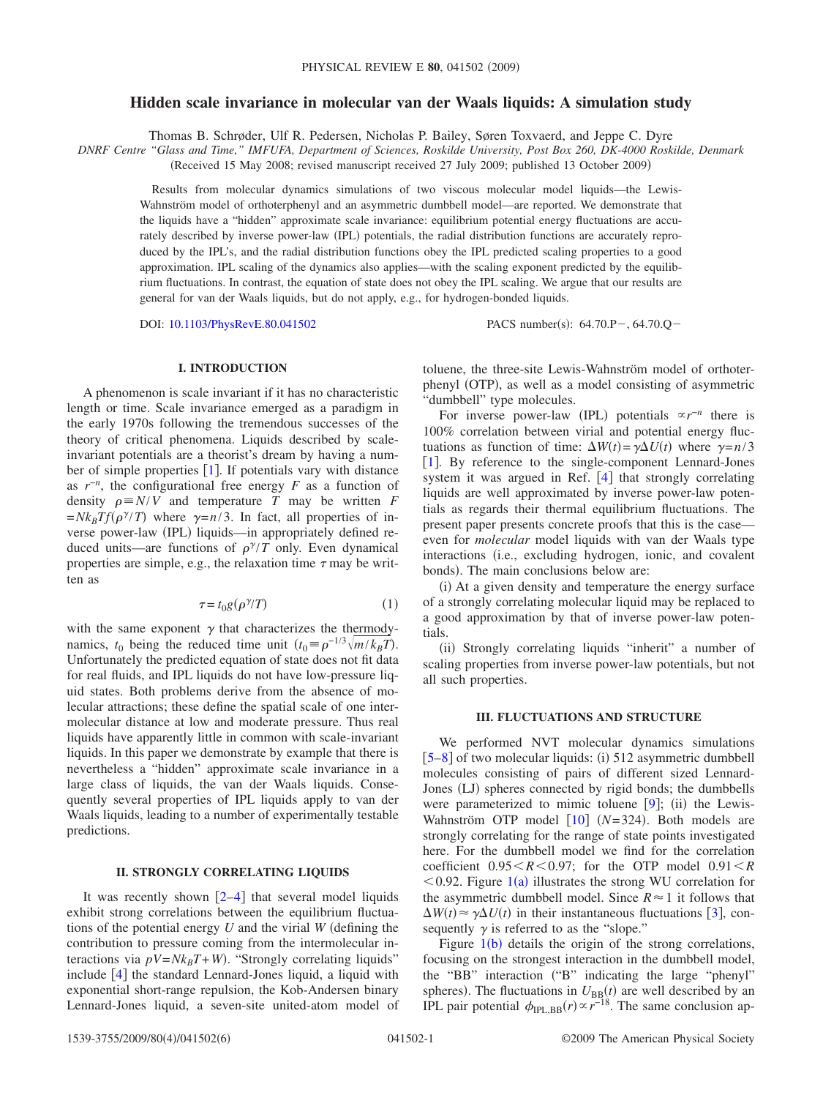# **Hidden scale invariance in molecular van der Waals liquids: A simulation study**

Thomas B. Schrøder, Ulf R. Pedersen, Nicholas P. Bailey, Søren Toxvaerd, and Jeppe C. Dyre

*DNRF Centre "Glass and Time," IMFUFA, Department of Sciences, Roskilde University, Post Box 260, DK-4000 Roskilde, Denmark*

(Received 15 May 2008; revised manuscript received 27 July 2009; published 13 October 2009)

Results from molecular dynamics simulations of two viscous molecular model liquids—the Lewis-Wahnström model of orthoterphenyl and an asymmetric dumbbell model—are reported. We demonstrate that the liquids have a "hidden" approximate scale invariance: equilibrium potential energy fluctuations are accurately described by inverse power-law (IPL) potentials, the radial distribution functions are accurately reproduced by the IPL's, and the radial distribution functions obey the IPL predicted scaling properties to a good approximation. IPL scaling of the dynamics also applies—with the scaling exponent predicted by the equilibrium fluctuations. In contrast, the equation of state does not obey the IPL scaling. We argue that our results are general for van der Waals liquids, but do not apply, e.g., for hydrogen-bonded liquids.

DOI: [10.1103/PhysRevE.80.041502](http://dx.doi.org/10.1103/PhysRevE.80.041502)

PACS number(s):  $64.70 \text{.}P - 64.70 \text{.}Q -$ 

## **I. INTRODUCTION**

A phenomenon is scale invariant if it has no characteristic length or time. Scale invariance emerged as a paradigm in the early 1970s following the tremendous successes of the theory of critical phenomena. Liquids described by scaleinvariant potentials are a theorist's dream by having a number of simple properties  $\lceil 1 \rceil$  $\lceil 1 \rceil$  $\lceil 1 \rceil$ . If potentials vary with distance as *r*−*<sup>n</sup>* , the configurational free energy *F* as a function of density  $\rho \equiv N/V$  and temperature *T* may be written *F*  $=Nk_BTf(\rho^{\gamma}/T)$  where  $\gamma=n/3$ . In fact, all properties of inverse power-law (IPL) liquids—in appropriately defined reduced units—are functions of  $\rho^{\gamma}/T$  only. Even dynamical properties are simple, e.g., the relaxation time  $\tau$  may be written as

$$
\tau = t_0 g(\rho^{\gamma}/T) \tag{1}
$$

<span id="page-0-0"></span>with the same exponent  $\gamma$  that characterizes the thermodynamics,  $t_0$  being the reduced time unit  $(t_0 = \rho^{-1/3} \sqrt{m/k_B T})$ . Unfortunately the predicted equation of state does not fit data for real fluids, and IPL liquids do not have low-pressure liquid states. Both problems derive from the absence of molecular attractions; these define the spatial scale of one intermolecular distance at low and moderate pressure. Thus real liquids have apparently little in common with scale-invariant liquids. In this paper we demonstrate by example that there is nevertheless a "hidden" approximate scale invariance in a large class of liquids, the van der Waals liquids. Consequently several properties of IPL liquids apply to van der Waals liquids, leading to a number of experimentally testable predictions.

## **II. STRONGLY CORRELATING LIQUIDS**

It was recently shown  $[2-4]$  $[2-4]$  $[2-4]$  that several model liquids exhibit strong correlations between the equilibrium fluctuations of the potential energy  $U$  and the virial  $W$  (defining the contribution to pressure coming from the intermolecular interactions via  $pV = Nk_B T + W$ ). "Strongly correlating liquids" include  $\lceil 4 \rceil$  $\lceil 4 \rceil$  $\lceil 4 \rceil$  the standard Lennard-Jones liquid, a liquid with exponential short-range repulsion, the Kob-Andersen binary Lennard-Jones liquid, a seven-site united-atom model of toluene, the three-site Lewis-Wahnström model of orthoterphenyl (OTP), as well as a model consisting of asymmetric "dumbbell" type molecules.

For inverse power-law (IPL) potentials  $\alpha r^{-n}$  there is 100% correlation between virial and potential energy fluctuations as function of time:  $\Delta W(t) = \gamma \Delta U(t)$  where  $\gamma = n/3$ [[1](#page-5-0)]. By reference to the single-component Lennard-Jones system it was argued in Ref.  $[4]$  $[4]$  $[4]$  that strongly correlating liquids are well approximated by inverse power-law potentials as regards their thermal equilibrium fluctuations. The present paper presents concrete proofs that this is the case even for *molecular* model liquids with van der Waals type interactions (i.e., excluding hydrogen, ionic, and covalent bonds). The main conclusions below are:

(i) At a given density and temperature the energy surface of a strongly correlating molecular liquid may be replaced to a good approximation by that of inverse power-law potentials.

(ii) Strongly correlating liquids "inherit" a number of scaling properties from inverse power-law potentials, but not all such properties.

## **III. FLUCTUATIONS AND STRUCTURE**

We performed NVT molecular dynamics simulations [[5–](#page-5-3)[8](#page-5-4)] of two molecular liquids: (i) 512 asymmetric dumbbell molecules consisting of pairs of different sized Lennard-Jones (LJ) spheres connected by rigid bonds; the dumbbells were parameterized to mimic toluene  $[9]$  $[9]$  $[9]$ ; (ii) the Lewis-Wahnström OTP model  $[10]$  $[10]$  $[10]$  ( $N=324$ ). Both models are strongly correlating for the range of state points investigated here. For the dumbbell model we find for the correlation coefficient  $0.95 < R < 0.97$ ; for the OTP model  $0.91 < R$  $<$  0.92. Figure [1](#page-1-0)(a) illustrates the strong WU correlation for the asymmetric dumbbell model. Since  $R \approx 1$  it follows that  $\Delta W(t) \approx \gamma \Delta U(t)$  in their instantaneous fluctuations [[3](#page-5-7)], consequently  $\gamma$  is referred to as the "slope."

Figure  $1(b)$  $1(b)$  details the origin of the strong correlations, focusing on the strongest interaction in the dumbbell model, the "BB" interaction ("B" indicating the large "phenyl" spheres). The fluctuations in  $U_{\text{BB}}(t)$  are well described by an IPL pair potential  $\phi_{\text{IPL},\text{BB}}(r) \propto r^{-18}$ . The same conclusion ap-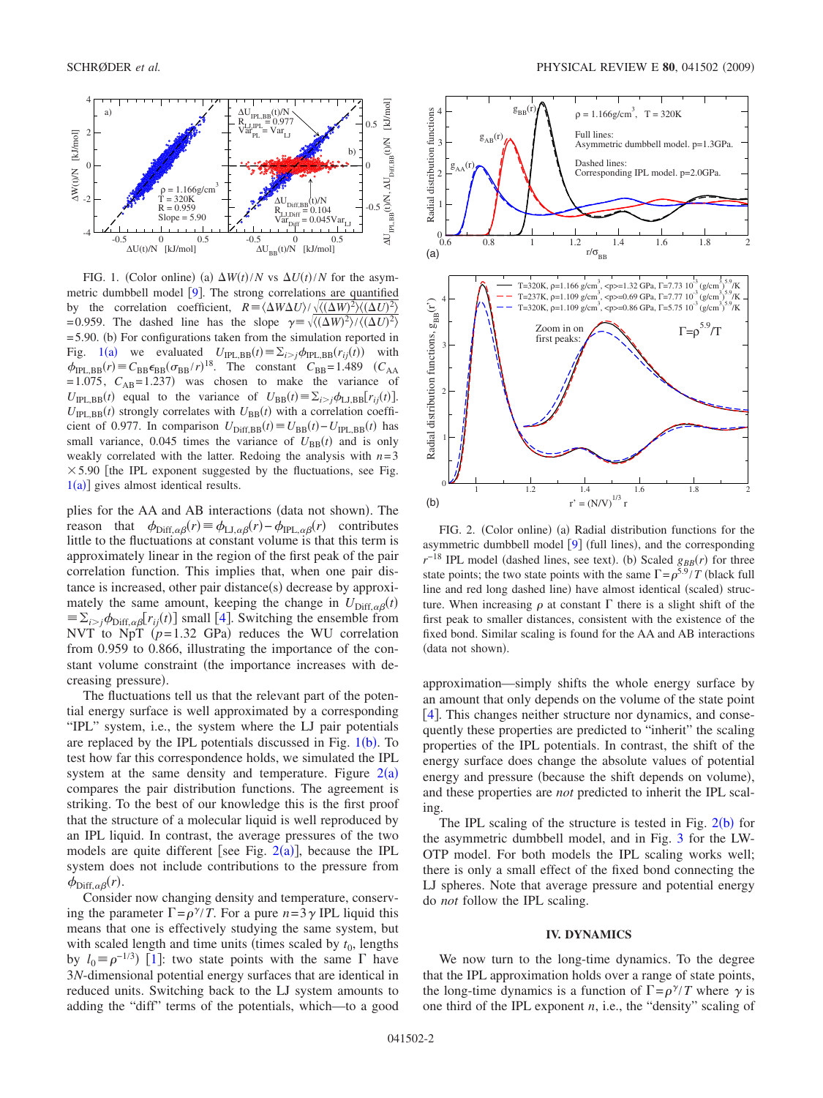<span id="page-1-0"></span>

FIG. 1. (Color online) (a)  $\Delta W(t)/N$  vs  $\Delta U(t)/N$  for the asymmetric dumbbell model  $[9]$  $[9]$  $[9]$ . The strong correlations are quantified by the correlation coefficient,  $R = \langle \Delta W \Delta U \rangle / \sqrt{\langle (\Delta W)^2 \rangle \langle (\Delta U)^2 \rangle}$ =0.959. The dashed line has the slope  $\gamma = \sqrt{\langle (\Delta W)^2 \rangle / \langle (\Delta U)^2 \rangle}$ = 5.90. (b) For configurations taken from the simulation reported in Fig. [1](#page-1-0)(a) we evaluated  $U_{\text{IPL,BB}}(t) \equiv \sum_{i > j} \phi_{\text{IPL,BB}}(r_{ij}(t))$  with  $\phi_{\text{IPL},\text{BB}}(r) \equiv C_{\text{BB}} \epsilon_{\text{BB}} (\sigma_{\text{BB}}/r)^{18}$ . The constant  $C_{\text{BB}}=1.489$   $(C_{\text{AA}}$  $=1.075$ ,  $C_{AB} = 1.237$ ) was chosen to make the variance of  $U_{\text{IPL},\text{BB}}(t)$  equal to the variance of  $U_{\text{BB}}(t) \equiv \sum_{i>j} \phi_{\text{LJ},\text{BB}}[r_{ij}(t)]$ .  $U_{\text{IPL},\text{BB}}(t)$  strongly correlates with  $U_{\text{BB}}(t)$  with a correlation coefficient of 0.977. In comparison  $U_{\text{Diff,BB}}(t) \equiv U_{\text{BB}}(t) - U_{\text{IPL,BB}}(t)$  has small variance, 0.045 times the variance of  $U_{BB}(t)$  and is only weakly correlated with the latter. Redoing the analysis with  $n=3$  $\times$  5.90 [the IPL exponent suggested by the fluctuations, see Fig.  $1(a)$  $1(a)$ ] gives almost identical results.

plies for the AA and AB interactions (data not shown). The reason that  $\phi_{\text{Diff},\alpha\beta}(r) \equiv \phi_{\text{LJ},\alpha\beta}(r) - \phi_{\text{IPL},\alpha\beta}(r)$  contributes little to the fluctuations at constant volume is that this term is approximately linear in the region of the first peak of the pair correlation function. This implies that, when one pair distance is increased, other pair distance(s) decrease by approximately the same amount, keeping the change in  $U_{\text{Diff},\alpha\beta}(t)$  $\equiv \sum_{i>j} \phi_{\text{Diff},\alpha\beta} [r_{ij}(t)]$  small [[4](#page-5-2)]. Switching the ensemble from NVT to NpT  $(p=1.32 \text{ GPa})$  reduces the WU correlation from 0.959 to 0.866, illustrating the importance of the constant volume constraint (the importance increases with decreasing pressure).

The fluctuations tell us that the relevant part of the potential energy surface is well approximated by a corresponding "IPL" system, i.e., the system where the LJ pair potentials are replaced by the IPL potentials discussed in Fig.  $1(b)$  $1(b)$ . To test how far this correspondence holds, we simulated the IPL system at the same density and temperature. Figure  $2(a)$  $2(a)$ compares the pair distribution functions. The agreement is striking. To the best of our knowledge this is the first proof that the structure of a molecular liquid is well reproduced by an IPL liquid. In contrast, the average pressures of the two models are quite different [see Fig.  $2(a)$  $2(a)$ ], because the IPL system does not include contributions to the pressure from  $\phi_{\text{Diff},\alpha\beta}(r)$ .

Consider now changing density and temperature, conserving the parameter  $\Gamma = \rho^{\gamma}/T$ . For a pure  $n=3\gamma$  IPL liquid this means that one is effectively studying the same system, but with scaled length and time units (times scaled by  $t_0$ , lengths by  $l_0 \equiv \rho^{-1/3}$  $l_0 \equiv \rho^{-1/3}$  $l_0 \equiv \rho^{-1/3}$ ) [1]: two state points with the same  $\Gamma$  have 3*N*-dimensional potential energy surfaces that are identical in reduced units. Switching back to the LJ system amounts to adding the "diff" terms of the potentials, which—to a good

<span id="page-1-1"></span>

FIG. 2. (Color online) (a) Radial distribution functions for the asymmetric dumbbell model  $[9]$  $[9]$  $[9]$  (full lines), and the corresponding  $r^{-18}$  IPL model (dashed lines, see text). (b) Scaled  $g_{BB}(r)$  for three state points; the two state points with the same  $\Gamma = \rho^{5.9}/T$  (black full line and red long dashed line) have almost identical (scaled) structure. When increasing  $\rho$  at constant  $\Gamma$  there is a slight shift of the first peak to smaller distances, consistent with the existence of the fixed bond. Similar scaling is found for the AA and AB interactions (data not shown).

approximation—simply shifts the whole energy surface by an amount that only depends on the volume of the state point [[4](#page-5-2)]. This changes neither structure nor dynamics, and consequently these properties are predicted to "inherit" the scaling properties of the IPL potentials. In contrast, the shift of the energy surface does change the absolute values of potential energy and pressure (because the shift depends on volume), and these properties are *not* predicted to inherit the IPL scaling.

The IPL scaling of the structure is tested in Fig.  $2(b)$  $2(b)$  for the asymmetric dumbbell model, and in Fig. [3](#page-2-0) for the LW-OTP model. For both models the IPL scaling works well; there is only a small effect of the fixed bond connecting the LJ spheres. Note that average pressure and potential energy do *not* follow the IPL scaling.

### **IV. DYNAMICS**

We now turn to the long-time dynamics. To the degree that the IPL approximation holds over a range of state points, the long-time dynamics is a function of  $\Gamma = \rho^{\gamma}/T$  where  $\gamma$  is one third of the IPL exponent *n*, i.e., the "density" scaling of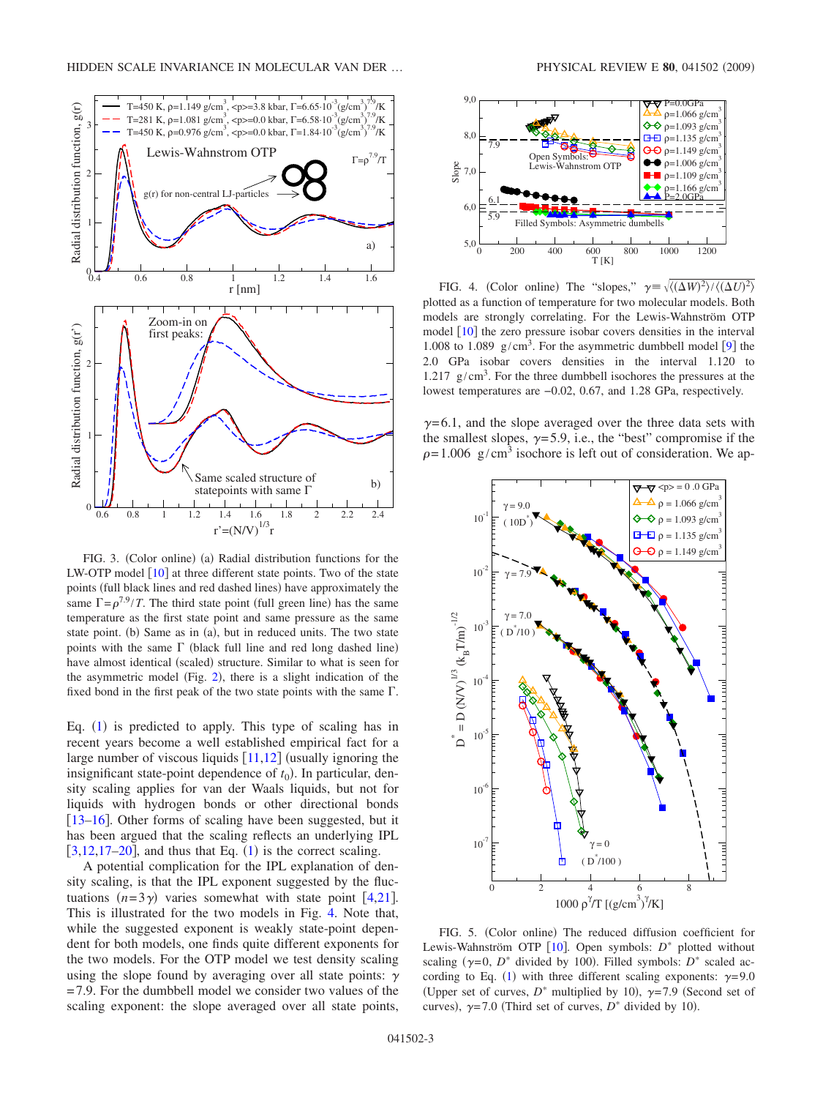<span id="page-2-0"></span>

FIG. 3. (Color online) (a) Radial distribution functions for the LW-OTP model  $\lceil 10 \rceil$  $\lceil 10 \rceil$  $\lceil 10 \rceil$  at three different state points. Two of the state points (full black lines and red dashed lines) have approximately the same  $\Gamma = \rho^{7.9}/T$ . The third state point (full green line) has the same temperature as the first state point and same pressure as the same state point. (b) Same as in (a), but in reduced units. The two state points with the same  $\Gamma$  (black full line and red long dashed line) have almost identical (scaled) structure. Similar to what is seen for the asymmetric model (Fig. [2](#page-1-1)), there is a slight indication of the fixed bond in the first peak of the two state points with the same  $\Gamma$ .

Eq. ([1](#page-0-0)) is predicted to apply. This type of scaling has in recent years become a well established empirical fact for a large number of viscous liquids  $[11,12]$  $[11,12]$  $[11,12]$  $[11,12]$  (usually ignoring the insignificant state-point dependence of  $t_0$ ). In particular, density scaling applies for van der Waals liquids, but not for liquids with hydrogen bonds or other directional bonds  $[13–16]$  $[13–16]$  $[13–16]$  $[13–16]$ . Other forms of scaling have been suggested, but it has been argued that the scaling reflects an underlying IPL  $[3,12,17-20]$  $[3,12,17-20]$  $[3,12,17-20]$  $[3,12,17-20]$  $[3,12,17-20]$  $[3,12,17-20]$ , and thus that Eq.  $(1)$  $(1)$  $(1)$  is the correct scaling.

A potential complication for the IPL explanation of density scaling, is that the IPL exponent suggested by the fluctuations  $(n=3\gamma)$  varies somewhat with state point [[4,](#page-5-2)[21](#page-5-14)]. This is illustrated for the two models in Fig. [4.](#page-2-1) Note that, while the suggested exponent is weakly state-point dependent for both models, one finds quite different exponents for the two models. For the OTP model we test density scaling using the slope found by averaging over all state points:  $\gamma$ =7.9. For the dumbbell model we consider two values of the scaling exponent: the slope averaged over all state points,

<span id="page-2-1"></span>

FIG. 4. (Color online) The "slopes,"  $\gamma = \sqrt{\langle (\Delta W)^2 \rangle / \langle (\Delta U)^2 \rangle}$ plotted as a function of temperature for two molecular models. Both models are strongly correlating. For the Lewis-Wahnström OTP model  $[10]$  $[10]$  $[10]$  the zero pressure isobar covers densities in the interval 1.008 to 1.08[9](#page-5-5)  $g/cm<sup>3</sup>$ . For the asymmetric dumbbell model [9] the 2.0 GPa isobar covers densities in the interval 1.120 to 1.217  $g/cm<sup>3</sup>$ . For the three dumbbell isochores the pressures at the lowest temperatures are −0.02, 0.67, and 1.28 GPa, respectively.

 $\gamma$ =6.1, and the slope averaged over the three data sets with the smallest slopes,  $\gamma$ =5.9, i.e., the "best" compromise if the  $\rho = 1.006$  g/cm<sup>3</sup> isochore is left out of consideration. We ap-

<span id="page-2-2"></span>

FIG. 5. (Color online) The reduced diffusion coefficient for Lewis-Wahnström OTP [[10](#page-5-6)]. Open symbols:  $D^*$  plotted without scaling ( $\gamma = 0$ , *D*<sup>\*</sup> divided by 100). Filled symbols: *D*<sup>\*</sup> scaled ac-cording to Eq. ([1](#page-0-0)) with three different scaling exponents:  $\gamma = 9.0$ (Upper set of curves,  $D^*$  multiplied by 10),  $\gamma=7.9$  (Second set of curves),  $\gamma = 7.0$  (Third set of curves,  $D^*$  divided by 10).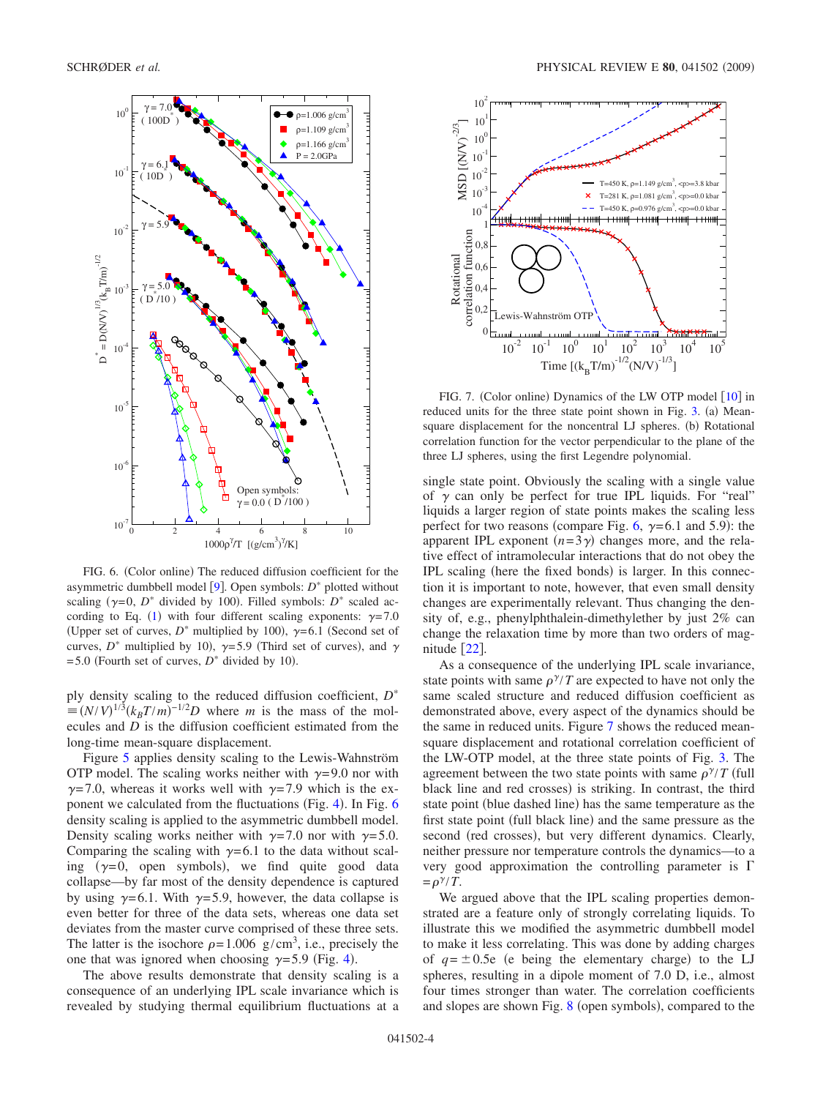<span id="page-3-0"></span>

FIG. 6. (Color online) The reduced diffusion coefficient for the asymmetric dumbbell model  $[9]$  $[9]$  $[9]$ . Open symbols:  $D^*$  plotted without scaling ( $\gamma = 0$ , *D*<sup>\*</sup> divided by 100). Filled symbols: *D*<sup>\*</sup> scaled ac-cording to Eq. ([1](#page-0-0)) with four different scaling exponents:  $\gamma = 7.0$ (Upper set of curves,  $D^*$  multiplied by 100),  $\gamma=6.1$  (Second set of curves,  $D^*$  multiplied by 10),  $\gamma = 5.9$  (Third set of curves), and  $\gamma$  $=$  5.0 (Fourth set of curves,  $D^*$  divided by 10).

ply density scaling to the reduced diffusion coefficient, *D*  $\equiv (N/V)^{1/3} (k_B T/m)^{-1/2} D$  where *m* is the mass of the molecules and *D* is the diffusion coefficient estimated from the long-time mean-square displacement.

Figure [5](#page-2-2) applies density scaling to the Lewis-Wahnström OTP model. The scaling works neither with  $\gamma=9.0$  nor with  $\gamma$ =7.0, whereas it works well with  $\gamma$ =7.9 which is the ex-ponent we calculated from the fluctuations (Fig. [4](#page-2-1)). In Fig. [6](#page-3-0) density scaling is applied to the asymmetric dumbbell model. Density scaling works neither with  $\gamma = 7.0$  nor with  $\gamma = 5.0$ . Comparing the scaling with  $\gamma=6.1$  to the data without scaling  $(\gamma=0, \text{ open symbols})$ , we find quite good data collapse—by far most of the density dependence is captured by using  $\gamma$ =6.1. With  $\gamma$ =5.9, however, the data collapse is even better for three of the data sets, whereas one data set deviates from the master curve comprised of these three sets. The latter is the isochore  $\rho = 1.006$  g/cm<sup>3</sup>, i.e., precisely the one that was ignored when choosing  $\gamma = 5.9$  (Fig. [4](#page-2-1)).

The above results demonstrate that density scaling is a consequence of an underlying IPL scale invariance which is revealed by studying thermal equilibrium fluctuations at a

<span id="page-3-1"></span>

FIG. 7. (Color online) Dynamics of the LW OTP model [[10](#page-5-6)] in reduced units for the three state point shown in Fig. [3.](#page-2-0) (a) Meansquare displacement for the noncentral LJ spheres. (b) Rotational correlation function for the vector perpendicular to the plane of the three LJ spheres, using the first Legendre polynomial.

single state point. Obviously the scaling with a single value of  $\gamma$  can only be perfect for true IPL liquids. For "real" liquids a larger region of state points makes the scaling less perfect for two reasons (compare Fig. [6,](#page-3-0)  $\gamma=6.1$  and 5.9): the apparent IPL exponent  $(n=3\gamma)$  changes more, and the relative effect of intramolecular interactions that do not obey the IPL scaling (here the fixed bonds) is larger. In this connection it is important to note, however, that even small density changes are experimentally relevant. Thus changing the density of, e.g., phenylphthalein-dimethylether by just 2% can change the relaxation time by more than two orders of magnitude  $\lceil 22 \rceil$  $\lceil 22 \rceil$  $\lceil 22 \rceil$ .

As a consequence of the underlying IPL scale invariance, state points with same  $\rho^{\gamma}/T$  are expected to have not only the same scaled structure and reduced diffusion coefficient as demonstrated above, every aspect of the dynamics should be the same in reduced units. Figure [7](#page-3-1) shows the reduced meansquare displacement and rotational correlation coefficient of the LW-OTP model, at the three state points of Fig. [3.](#page-2-0) The agreement between the two state points with same  $\rho^{\gamma}/T$  (full black line and red crosses) is striking. In contrast, the third state point (blue dashed line) has the same temperature as the first state point (full black line) and the same pressure as the second (red crosses), but very different dynamics. Clearly, neither pressure nor temperature controls the dynamics—to a very good approximation the controlling parameter is  $\Gamma$  $=\rho^{\gamma}/T$ .

We argued above that the IPL scaling properties demonstrated are a feature only of strongly correlating liquids. To illustrate this we modified the asymmetric dumbbell model to make it less correlating. This was done by adding charges of  $q = \pm 0.5e$  (e being the elementary charge) to the LJ spheres, resulting in a dipole moment of 7.0 D, i.e., almost four times stronger than water. The correlation coefficients and slopes are shown Fig. [8](#page-4-0) (open symbols), compared to the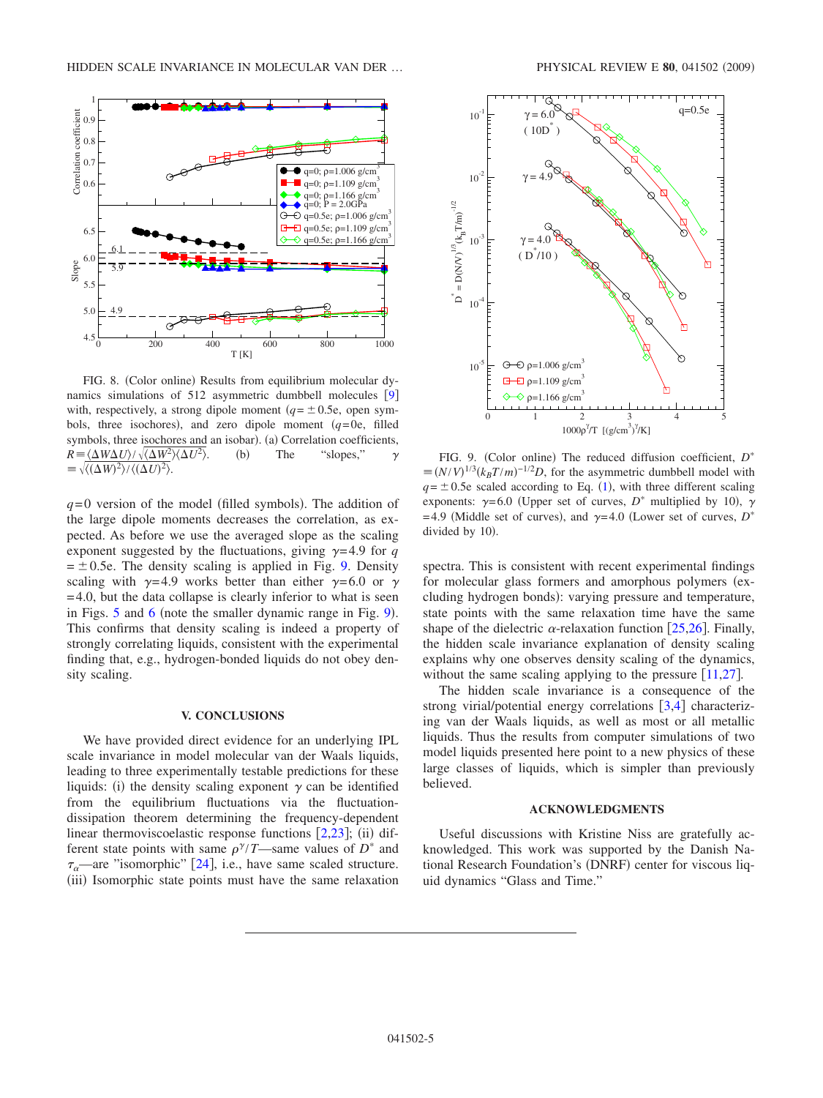<span id="page-4-0"></span>

FIG. 8. (Color online) Results from equilibrium molecular dy-namics simulations of 512 asymmetric dumbbell molecules [[9](#page-5-5)] with, respectively, a strong dipole moment  $(q = \pm 0.5e$ , open symbols, three isochores), and zero dipole moment  $(q=0e,$  filled symbols, three isochores and an isobar). (a) Correlation coefficients,  $R = \langle \Delta W \Delta U \rangle / \sqrt{\langle \Delta W^2 \rangle \langle \Delta U^2 \rangle}$  $(b)$ The "slopes,"  $\gamma$  $\sqrt{\langle (\Delta W)^2 \rangle / \langle (\Delta U)^2 \rangle}.$ 

 $q=0$  version of the model (filled symbols). The addition of the large dipole moments decreases the correlation, as expected. As before we use the averaged slope as the scaling exponent suggested by the fluctuations, giving  $\gamma=4.9$  for *q*  $= \pm 0.5e$ . The density scaling is applied in Fig. [9.](#page-4-1) Density scaling with  $\gamma=4.9$  works better than either  $\gamma=6.0$  or  $\gamma$  $=4.0$ , but the data collapse is clearly inferior to what is seen in Figs.  $5$  and  $6$  (note the smaller dynamic range in Fig. [9](#page-4-1)). This confirms that density scaling is indeed a property of strongly correlating liquids, consistent with the experimental finding that, e.g., hydrogen-bonded liquids do not obey density scaling.

### **V. CONCLUSIONS**

We have provided direct evidence for an underlying IPL scale invariance in model molecular van der Waals liquids, leading to three experimentally testable predictions for these liquids: (i) the density scaling exponent  $\gamma$  can be identified from the equilibrium fluctuations via the fluctuationdissipation theorem determining the frequency-dependent linear thermoviscoelastic response functions  $[2,23]$  $[2,23]$  $[2,23]$  $[2,23]$ ; (ii) different state points with same  $\rho^{\gamma}/T$ —same values of  $D^*$  and  $\tau_{\alpha}$ —are "isomorphic" [[24](#page-5-17)], i.e., have same scaled structure. (iii) Isomorphic state points must have the same relaxation

<span id="page-4-1"></span>

FIG. 9. (Color online) The reduced diffusion coefficient,  $D^*$  $\equiv (N/V)^{1/3} (k_B T/m)^{-1/2} D$ , for the asymmetric dumbbell model with  $q = \pm 0.5e$  scaled according to Eq. ([1](#page-0-0)), with three different scaling exponents:  $\gamma=6.0$  (Upper set of curves,  $D^*$  multiplied by 10),  $\gamma$ =4.9 (Middle set of curves), and  $\gamma$ =4.0 (Lower set of curves, *D*<sup>\*</sup> divided by 10).

spectra. This is consistent with recent experimental findings for molecular glass formers and amorphous polymers (excluding hydrogen bonds): varying pressure and temperature, state points with the same relaxation time have the same shape of the dielectric  $\alpha$ -relaxation function [[25,](#page-5-18)[26](#page-5-19)]. Finally, the hidden scale invariance explanation of density scaling explains why one observes density scaling of the dynamics, without the same scaling applying to the pressure  $[11,27]$  $[11,27]$  $[11,27]$  $[11,27]$ .

The hidden scale invariance is a consequence of the strong virial/potential energy correlations  $\lceil 3,4 \rceil$  $\lceil 3,4 \rceil$  $\lceil 3,4 \rceil$  $\lceil 3,4 \rceil$  characterizing van der Waals liquids, as well as most or all metallic liquids. Thus the results from computer simulations of two model liquids presented here point to a new physics of these large classes of liquids, which is simpler than previously believed.

#### **ACKNOWLEDGMENTS**

Useful discussions with Kristine Niss are gratefully acknowledged. This work was supported by the Danish National Research Foundation's (DNRF) center for viscous liquid dynamics "Glass and Time."